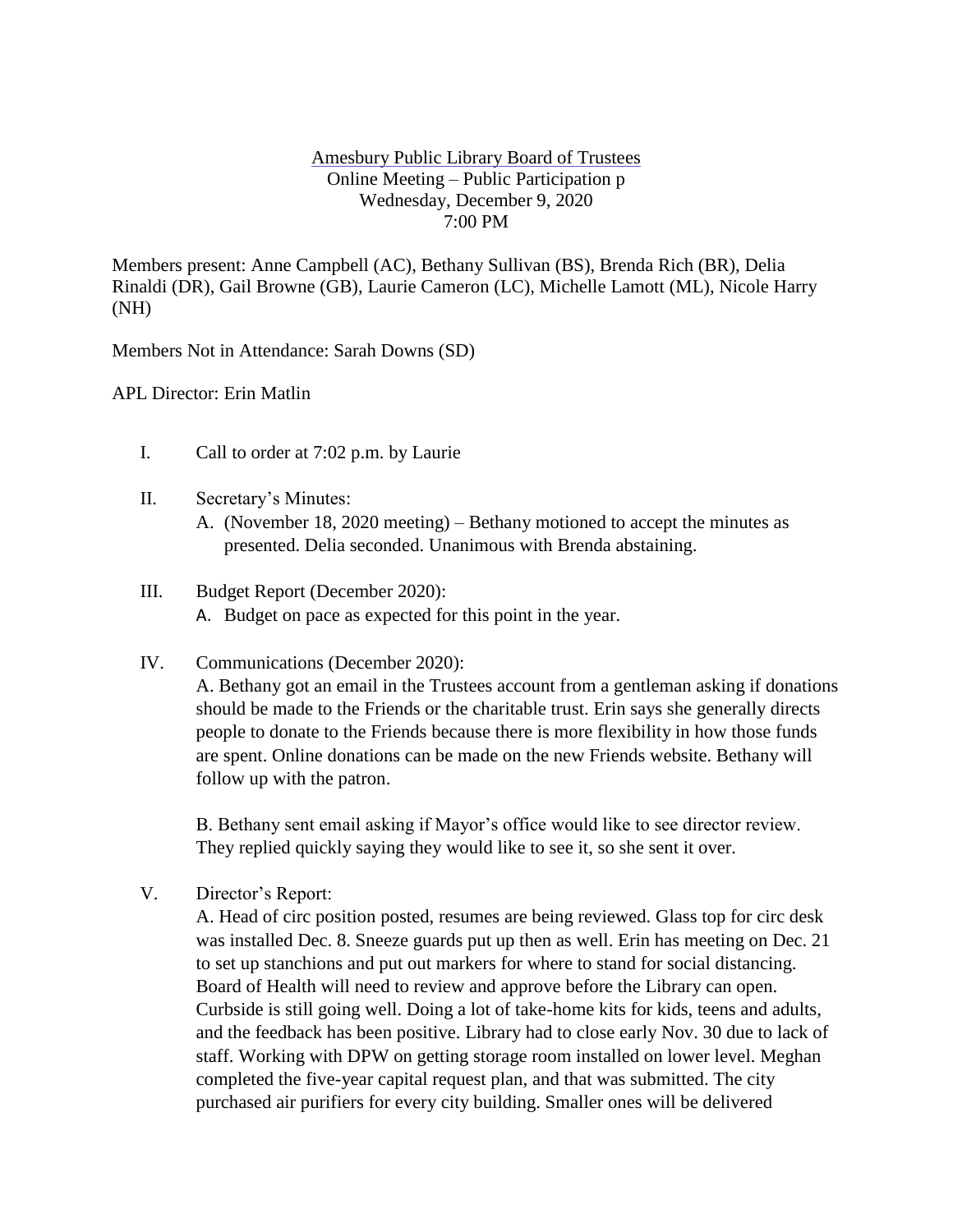## Amesbury Public Library Board of Trustees Online Meeting – Public Participation p Wednesday, December 9, 2020 7:00 PM

Members present: Anne Campbell (AC), Bethany Sullivan (BS), Brenda Rich (BR), Delia Rinaldi (DR), Gail Browne (GB), Laurie Cameron (LC), Michelle Lamott (ML), Nicole Harry (NH)

Members Not in Attendance: Sarah Downs (SD)

APL Director: Erin Matlin

- I. Call to order at 7:02 p.m. by Laurie
- II. Secretary's Minutes:
	- A. (November 18, 2020 meeting) Bethany motioned to accept the minutes as presented. Delia seconded. Unanimous with Brenda abstaining.
- III. Budget Report (December 2020): A. Budget on pace as expected for this point in the year.
- IV. Communications (December 2020): A. Bethany got an email in the Trustees account from a gentleman asking if donations should be made to the Friends or the charitable trust. Erin says she generally directs people to donate to the Friends because there is more flexibility in how those funds are spent. Online donations can be made on the new Friends website. Bethany will follow up with the patron.

B. Bethany sent email asking if Mayor's office would like to see director review. They replied quickly saying they would like to see it, so she sent it over.

V. Director's Report:

A. Head of circ position posted, resumes are being reviewed. Glass top for circ desk was installed Dec. 8. Sneeze guards put up then as well. Erin has meeting on Dec. 21 to set up stanchions and put out markers for where to stand for social distancing. Board of Health will need to review and approve before the Library can open. Curbside is still going well. Doing a lot of take-home kits for kids, teens and adults, and the feedback has been positive. Library had to close early Nov. 30 due to lack of staff. Working with DPW on getting storage room installed on lower level. Meghan completed the five-year capital request plan, and that was submitted. The city purchased air purifiers for every city building. Smaller ones will be delivered